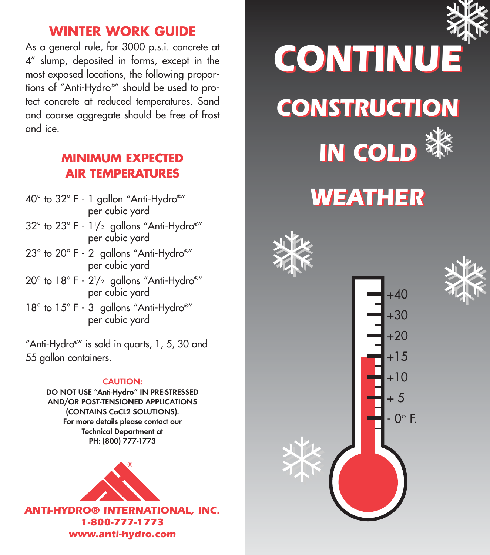### **WINTER WORK GUIDE**

As a general rule, for 3000 p.s.i. concrete at 4" slump, deposited in forms, except in the most exposed locations, the following proportions of "Anti-Hydro®" should be used to protect concrete at reduced temperatures. Sand and coarse aggregate should be free of frost and ice.

### **MINIMUM EXPECTED AIR TEMPERATURES**

- 40° to 32° F 1 gallon "Anti-Hydro®" per cubic yard
- $32^{\circ}$  to  $23^{\circ}$  F 1½ gallons "Anti-Hydro®" . per cubic yard
- 23° to 20° F 2 gallons "Anti-Hydro®" per cubic yard
- 20° to 18° F 2'/2 gallons "Anti-Hydro®"  $\,$ per cubic yard
- 18° to 15° F 3 gallons "Anti-Hydro®" per cubic yard

"Anti-Hydro®" is sold in quarts, 1, 5, 30 and 55 gallon containers.

#### CAUTION:

DO NOT USE "Anti-Hydro" IN PRE-STRESSED AND/OR POST-TENSIONED APPLICATIONS (CONTAINS CaCL2 SOLUTIONS). For more details please contact our Technical Department at PH: (800) 777-1773



*ANTI-HYDRO® INTERNATIONAL, INC. 1-800-777-1773 www.anti-hydro.com*